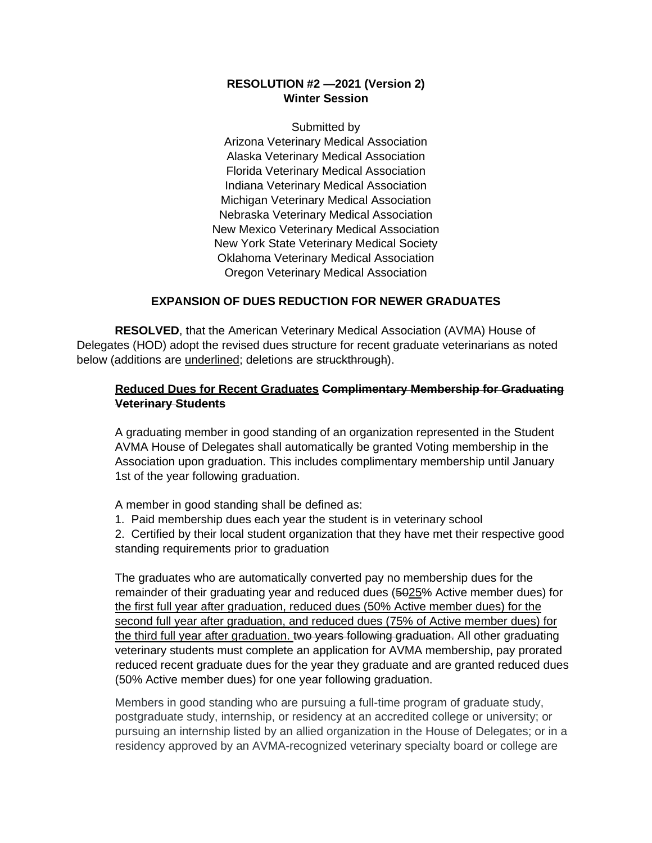## **RESOLUTION #2 —2021 (Version 2) Winter Session**

Submitted by Arizona Veterinary Medical Association Alaska Veterinary Medical Association Florida Veterinary Medical Association Indiana Veterinary Medical Association Michigan Veterinary Medical Association Nebraska Veterinary Medical Association New Mexico Veterinary Medical Association New York State Veterinary Medical Society Oklahoma Veterinary Medical Association Oregon Veterinary Medical Association

## **EXPANSION OF DUES REDUCTION FOR NEWER GRADUATES**

**RESOLVED**, that the American Veterinary Medical Association (AVMA) House of Delegates (HOD) adopt the revised dues structure for recent graduate veterinarians as noted below (additions are underlined; deletions are struckthrough).

## **Reduced Dues for Recent Graduates Complimentary Membership for Graduating Veterinary Students**

A graduating member in good standing of an organization represented in the Student AVMA House of Delegates shall automatically be granted Voting membership in the Association upon graduation. This includes complimentary membership until January 1st of the year following graduation.

A member in good standing shall be defined as:

1. Paid membership dues each year the student is in veterinary school

2. Certified by their local student organization that they have met their respective good standing requirements prior to graduation

The graduates who are automatically converted pay no membership dues for the remainder of their graduating year and reduced dues (5025% Active member dues) for the first full year after graduation, reduced dues (50% Active member dues) for the second full year after graduation, and reduced dues (75% of Active member dues) for the third full year after graduation. two years following graduation. All other graduating veterinary students must complete an application for AVMA membership, pay prorated reduced recent graduate dues for the year they graduate and are granted reduced dues (50% Active member dues) for one year following graduation.

Members in good standing who are pursuing a full-time program of graduate study, postgraduate study, internship, or residency at an accredited college or university; or pursuing an internship listed by an allied organization in the House of Delegates; or in a residency approved by an AVMA-recognized veterinary specialty board or college are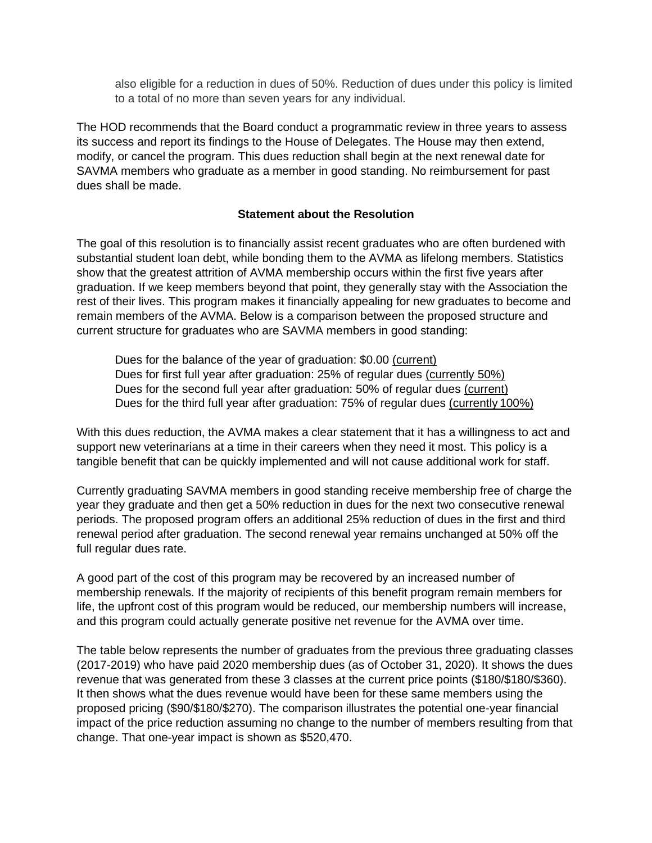also eligible for a reduction in dues of 50%. Reduction of dues under this policy is limited to a total of no more than seven years for any individual.

The HOD recommends that the Board conduct a programmatic review in three years to assess its success and report its findings to the House of Delegates. The House may then extend, modify, or cancel the program. This dues reduction shall begin at the next renewal date for SAVMA members who graduate as a member in good standing. No reimbursement for past dues shall be made.

## **Statement about the Resolution**

The goal of this resolution is to financially assist recent graduates who are often burdened with substantial student loan debt, while bonding them to the AVMA as lifelong members. Statistics show that the greatest attrition of AVMA membership occurs within the first five years after graduation. If we keep members beyond that point, they generally stay with the Association the rest of their lives. This program makes it financially appealing for new graduates to become and remain members of the AVMA. Below is a comparison between the proposed structure and current structure for graduates who are SAVMA members in good standing:

Dues for the balance of the year of graduation: \$0.00 (current) Dues for first full year after graduation: 25% of regular dues (currently 50%) Dues for the second full year after graduation: 50% of regular dues (current) Dues for the third full year after graduation: 75% of regular dues (currently 100%)

With this dues reduction, the AVMA makes a clear statement that it has a willingness to act and support new veterinarians at a time in their careers when they need it most. This policy is a tangible benefit that can be quickly implemented and will not cause additional work for staff.

Currently graduating SAVMA members in good standing receive membership free of charge the year they graduate and then get a 50% reduction in dues for the next two consecutive renewal periods. The proposed program offers an additional 25% reduction of dues in the first and third renewal period after graduation. The second renewal year remains unchanged at 50% off the full regular dues rate.

A good part of the cost of this program may be recovered by an increased number of membership renewals. If the majority of recipients of this benefit program remain members for life, the upfront cost of this program would be reduced, our membership numbers will increase, and this program could actually generate positive net revenue for the AVMA over time.

The table below represents the number of graduates from the previous three graduating classes (2017-2019) who have paid 2020 membership dues (as of October 31, 2020). It shows the dues revenue that was generated from these 3 classes at the current price points (\$180/\$180/\$360). It then shows what the dues revenue would have been for these same members using the proposed pricing (\$90/\$180/\$270). The comparison illustrates the potential one-year financial impact of the price reduction assuming no change to the number of members resulting from that change. That one-year impact is shown as \$520,470.